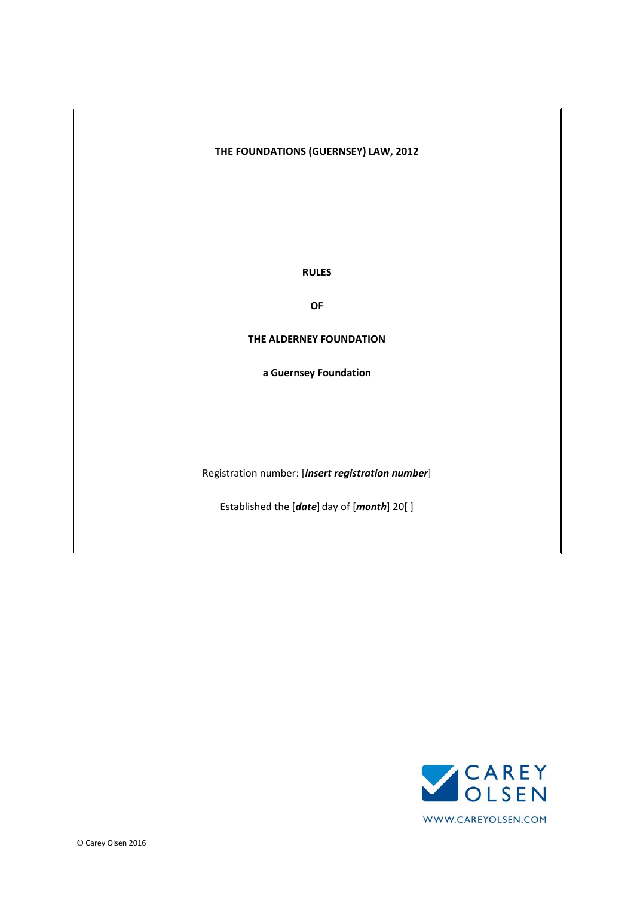# **THE FOUNDATIONS (GUERNSEY) LAW, 2012**

**RULES**

**OF**

**THE ALDERNEY FOUNDATION**

**a Guernsey Foundation**

Registration number: [*insert registration number*]

Established the [*date*] day of [*month*] 20[ ]

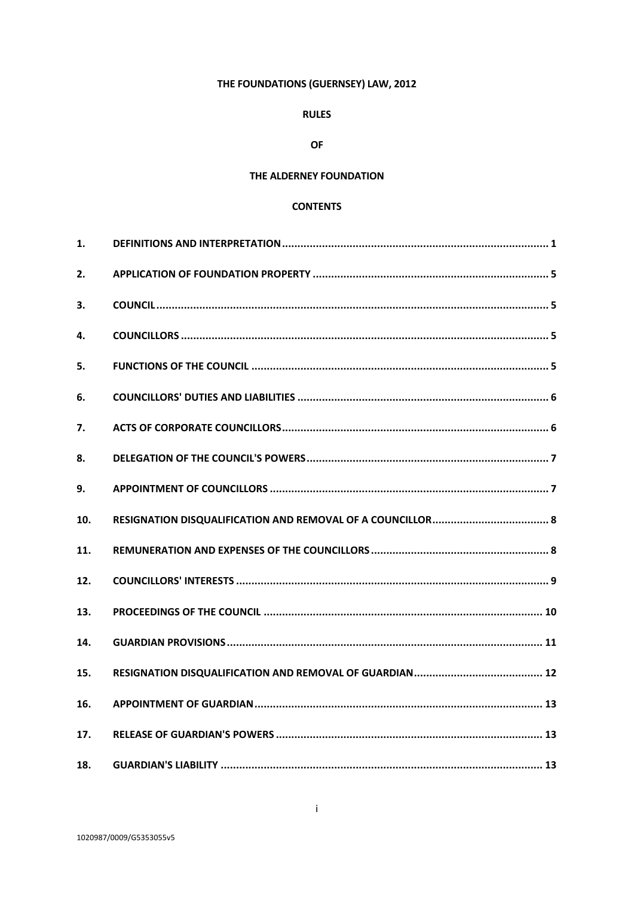# THE FOUNDATIONS (GUERNSEY) LAW, 2012

# **RULES**

## **OF**

# THE ALDERNEY FOUNDATION

# **CONTENTS**

| $\mathbf{1}$ . |  |
|----------------|--|
| 2.             |  |
| 3.             |  |
| 4.             |  |
| 5.             |  |
| 6.             |  |
| 7.             |  |
| 8.             |  |
| 9.             |  |
| 10.            |  |
| 11.            |  |
| 12.            |  |
| 13.            |  |
| 14.            |  |
| 15.            |  |
| 16.            |  |
| 17.            |  |
| 18.            |  |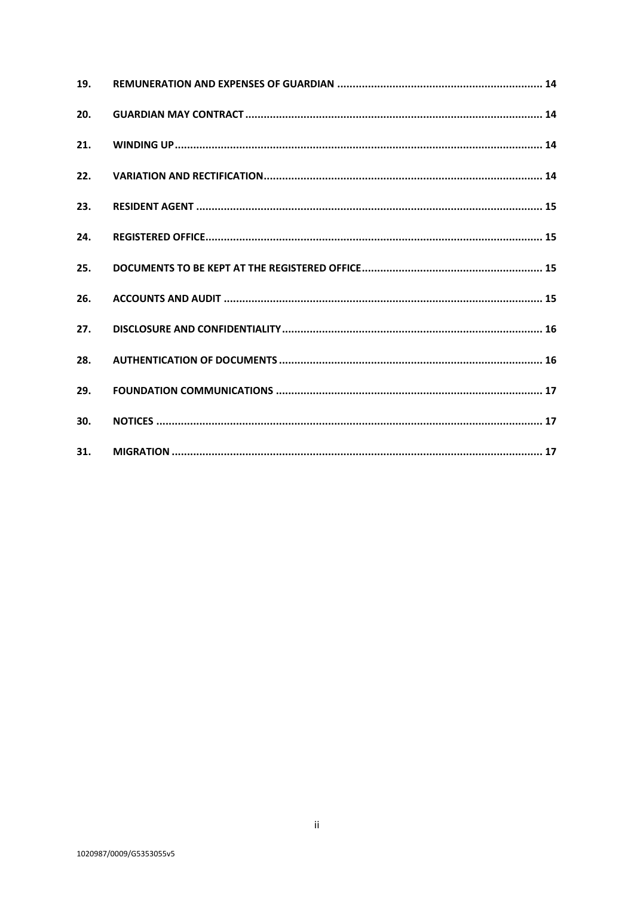| 19. |  |
|-----|--|
| 20. |  |
| 21. |  |
| 22. |  |
| 23. |  |
| 24. |  |
| 25. |  |
| 26. |  |
| 27. |  |
| 28. |  |
| 29. |  |
| 30. |  |
| 31. |  |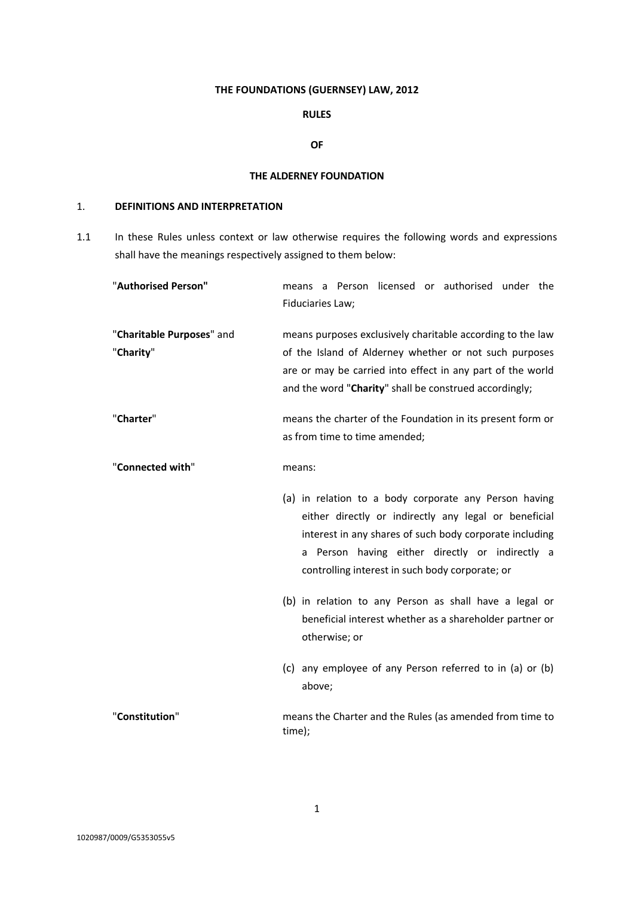# **THE FOUNDATIONS (GUERNSEY) LAW, 2012**

# **RULES**

#### **OF**

### **THE ALDERNEY FOUNDATION**

# <span id="page-3-0"></span>1. **DEFINITIONS AND INTERPRETATION**

1.1 In these Rules unless context or law otherwise requires the following words and expressions shall have the meanings respectively assigned to them below:

| "Authorised Person"                    | means a Person licensed or authorised under the<br>Fiduciaries Law;                                                                                                                                                                                                                                                                                                                                                                                                                                      |
|----------------------------------------|----------------------------------------------------------------------------------------------------------------------------------------------------------------------------------------------------------------------------------------------------------------------------------------------------------------------------------------------------------------------------------------------------------------------------------------------------------------------------------------------------------|
| "Charitable Purposes" and<br>"Charity" | means purposes exclusively charitable according to the law<br>of the Island of Alderney whether or not such purposes<br>are or may be carried into effect in any part of the world<br>and the word "Charity" shall be construed accordingly;                                                                                                                                                                                                                                                             |
| "Charter"                              | means the charter of the Foundation in its present form or<br>as from time to time amended;                                                                                                                                                                                                                                                                                                                                                                                                              |
| "Connected with"                       | means:<br>(a) in relation to a body corporate any Person having<br>either directly or indirectly any legal or beneficial<br>interest in any shares of such body corporate including<br>Person having either directly or indirectly a<br>a<br>controlling interest in such body corporate; or<br>(b) in relation to any Person as shall have a legal or<br>beneficial interest whether as a shareholder partner or<br>otherwise; or<br>(c) any employee of any Person referred to in (a) or (b)<br>above; |
| "Constitution"                         | means the Charter and the Rules (as amended from time to<br>time);                                                                                                                                                                                                                                                                                                                                                                                                                                       |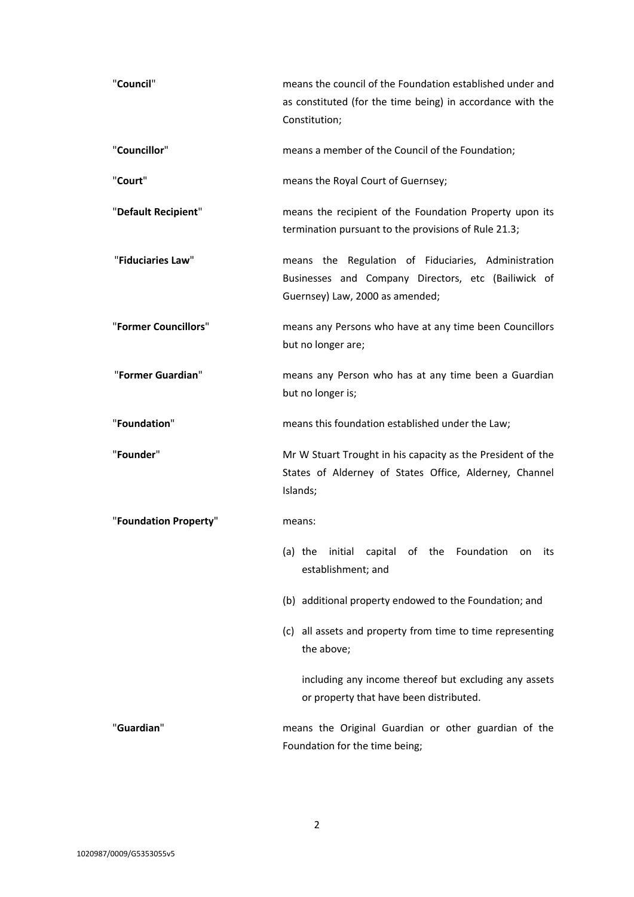| "Council"             | means the council of the Foundation established under and<br>as constituted (for the time being) in accordance with the<br>Constitution;      |
|-----------------------|-----------------------------------------------------------------------------------------------------------------------------------------------|
| "Councillor"          | means a member of the Council of the Foundation;                                                                                              |
| "Court"               | means the Royal Court of Guernsey;                                                                                                            |
| "Default Recipient"   | means the recipient of the Foundation Property upon its<br>termination pursuant to the provisions of Rule 21.3;                               |
| "Fiduciaries Law"     | means the Regulation of Fiduciaries, Administration<br>Businesses and Company Directors, etc (Bailiwick of<br>Guernsey) Law, 2000 as amended; |
| "Former Councillors"  | means any Persons who have at any time been Councillors<br>but no longer are;                                                                 |
| "Former Guardian"     | means any Person who has at any time been a Guardian<br>but no longer is;                                                                     |
| "Foundation"          | means this foundation established under the Law;                                                                                              |
| "Founder"             | Mr W Stuart Trought in his capacity as the President of the<br>States of Alderney of States Office, Alderney, Channel<br>Islands;             |
| "Foundation Property" | means:                                                                                                                                        |
|                       | (a) the initial capital of the Foundation on its<br>establishment; and                                                                        |
|                       | (b) additional property endowed to the Foundation; and                                                                                        |
|                       | (c) all assets and property from time to time representing<br>the above;                                                                      |
|                       | including any income thereof but excluding any assets<br>or property that have been distributed.                                              |
| "Guardian"            | means the Original Guardian or other guardian of the<br>Foundation for the time being;                                                        |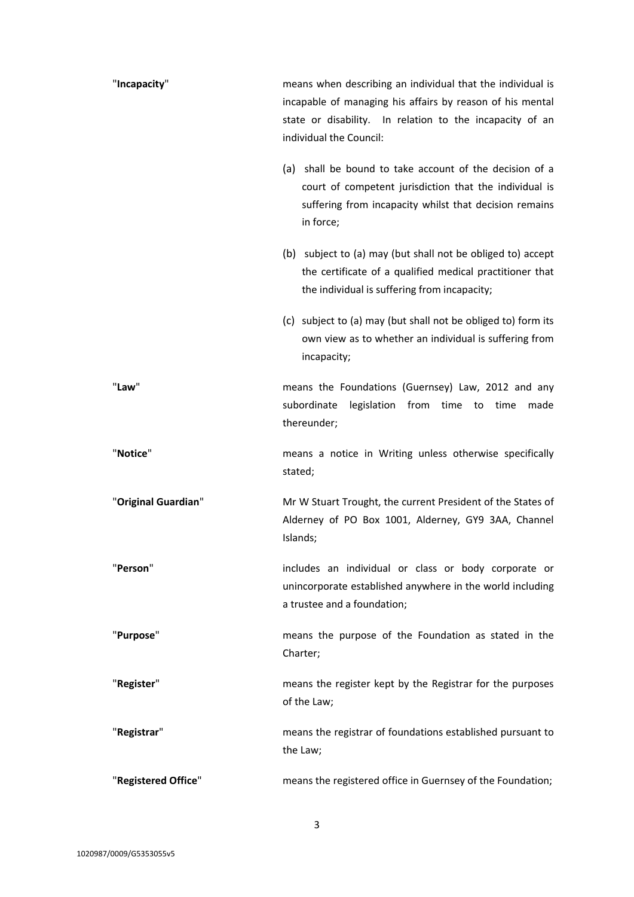| "Incapacity"        | means when describing an individual that the individual is<br>incapable of managing his affairs by reason of his mental<br>state or disability. In relation to the incapacity of an<br>individual the Council: |
|---------------------|----------------------------------------------------------------------------------------------------------------------------------------------------------------------------------------------------------------|
|                     | (a) shall be bound to take account of the decision of a<br>court of competent jurisdiction that the individual is<br>suffering from incapacity whilst that decision remains<br>in force;                       |
|                     | (b) subject to (a) may (but shall not be obliged to) accept<br>the certificate of a qualified medical practitioner that<br>the individual is suffering from incapacity;                                        |
|                     | (c) subject to (a) may (but shall not be obliged to) form its<br>own view as to whether an individual is suffering from<br>incapacity;                                                                         |
| "Law"               | means the Foundations (Guernsey) Law, 2012 and any<br>subordinate<br>legislation from time to time<br>made<br>thereunder;                                                                                      |
|                     |                                                                                                                                                                                                                |
| "Notice"            | means a notice in Writing unless otherwise specifically<br>stated;                                                                                                                                             |
| "Original Guardian" | Mr W Stuart Trought, the current President of the States of<br>Alderney of PO Box 1001, Alderney, GY9 3AA, Channel<br>Islands;                                                                                 |
| "Person"            | includes an individual or class or body corporate or<br>unincorporate established anywhere in the world including<br>a trustee and a foundation;                                                               |
| "Purpose"           | means the purpose of the Foundation as stated in the<br>Charter;                                                                                                                                               |
| "Register"          | means the register kept by the Registrar for the purposes<br>of the Law;                                                                                                                                       |
| "Registrar"         | means the registrar of foundations established pursuant to<br>the Law;                                                                                                                                         |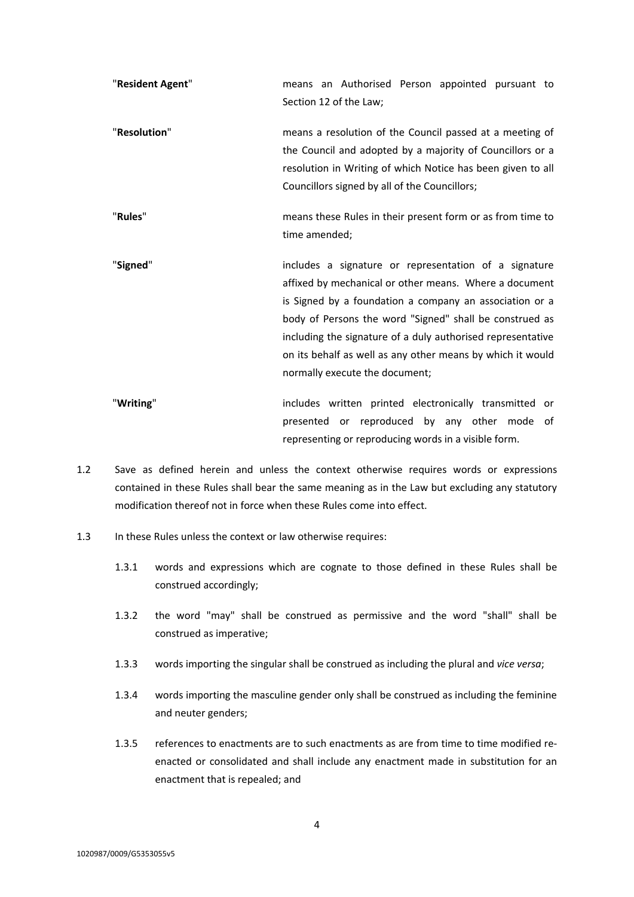| "Resident Agent" | means an Authorised Person appointed pursuant to<br>Section 12 of the Law;                                                                                                                                                                                                                                                                                                                           |
|------------------|------------------------------------------------------------------------------------------------------------------------------------------------------------------------------------------------------------------------------------------------------------------------------------------------------------------------------------------------------------------------------------------------------|
| "Resolution"     | means a resolution of the Council passed at a meeting of<br>the Council and adopted by a majority of Councillors or a<br>resolution in Writing of which Notice has been given to all<br>Councillors signed by all of the Councillors;                                                                                                                                                                |
| "Rules"          | means these Rules in their present form or as from time to<br>time amended;                                                                                                                                                                                                                                                                                                                          |
| "Signed"         | includes a signature or representation of a signature<br>affixed by mechanical or other means. Where a document<br>is Signed by a foundation a company an association or a<br>body of Persons the word "Signed" shall be construed as<br>including the signature of a duly authorised representative<br>on its behalf as well as any other means by which it would<br>normally execute the document; |

- "**Writing**" includes written printed electronically transmitted or presented or reproduced by any other mode of representing or reproducing words in a visible form.
- 1.2 Save as defined herein and unless the context otherwise requires words or expressions contained in these Rules shall bear the same meaning as in the Law but excluding any statutory modification thereof not in force when these Rules come into effect.
- 1.3 In these Rules unless the context or law otherwise requires:
	- 1.3.1 words and expressions which are cognate to those defined in these Rules shall be construed accordingly;
	- 1.3.2 the word "may" shall be construed as permissive and the word "shall" shall be construed as imperative;
	- 1.3.3 words importing the singular shall be construed as including the plural and *vice versa*;
	- 1.3.4 words importing the masculine gender only shall be construed as including the feminine and neuter genders;
	- 1.3.5 references to enactments are to such enactments as are from time to time modified reenacted or consolidated and shall include any enactment made in substitution for an enactment that is repealed; and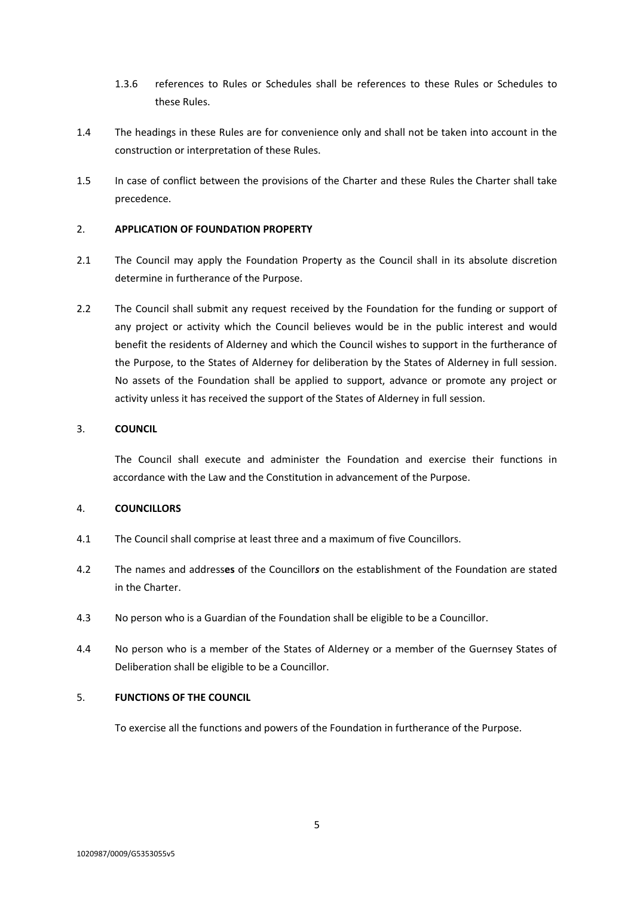- 1.3.6 references to Rules or Schedules shall be references to these Rules or Schedules to these Rules.
- 1.4 The headings in these Rules are for convenience only and shall not be taken into account in the construction or interpretation of these Rules.
- 1.5 In case of conflict between the provisions of the Charter and these Rules the Charter shall take precedence.

## <span id="page-7-0"></span>2. **APPLICATION OF FOUNDATION PROPERTY**

- 2.1 The Council may apply the Foundation Property as the Council shall in its absolute discretion determine in furtherance of the Purpose.
- 2.2 The Council shall submit any request received by the Foundation for the funding or support of any project or activity which the Council believes would be in the public interest and would benefit the residents of Alderney and which the Council wishes to support in the furtherance of the Purpose, to the States of Alderney for deliberation by the States of Alderney in full session. No assets of the Foundation shall be applied to support, advance or promote any project or activity unless it has received the support of the States of Alderney in full session.

# <span id="page-7-1"></span>3. **COUNCIL**

The Council shall execute and administer the Foundation and exercise their functions in accordance with the Law and the Constitution in advancement of the Purpose.

### <span id="page-7-2"></span>4. **COUNCILLORS**

- 4.1 The Council shall comprise at least three and a maximum of five Councillors.
- 4.2 The names and address**es** of the Councillor*s* on the establishment of the Foundation are stated in the Charter.
- 4.3 No person who is a Guardian of the Foundation shall be eligible to be a Councillor.
- 4.4 No person who is a member of the States of Alderney or a member of the Guernsey States of Deliberation shall be eligible to be a Councillor.

# <span id="page-7-3"></span>5. **FUNCTIONS OF THE COUNCIL**

To exercise all the functions and powers of the Foundation in furtherance of the Purpose.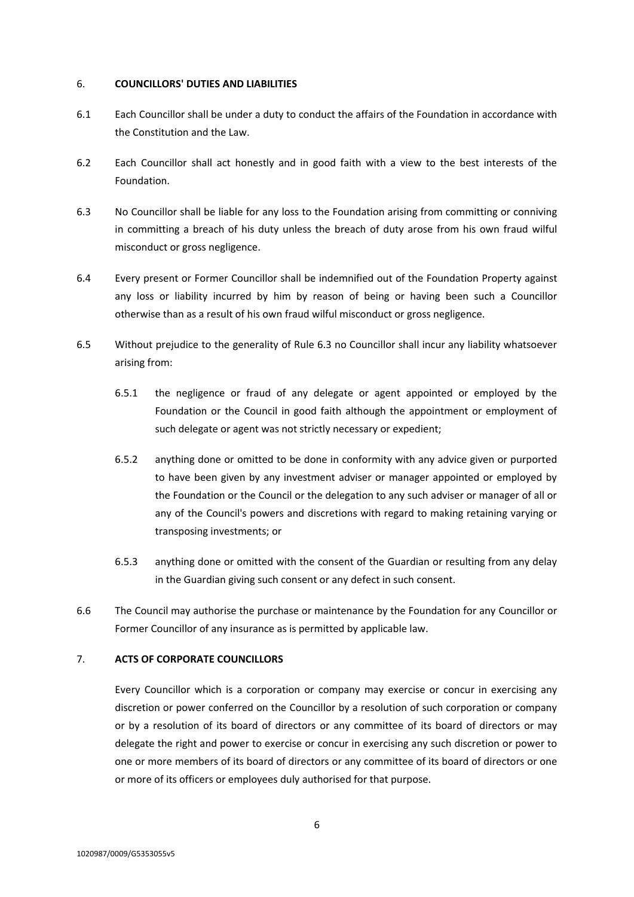#### <span id="page-8-0"></span>6. **COUNCILLORS' DUTIES AND LIABILITIES**

- 6.1 Each Councillor shall be under a duty to conduct the affairs of the Foundation in accordance with the Constitution and the Law.
- 6.2 Each Councillor shall act honestly and in good faith with a view to the best interests of the Foundation.
- <span id="page-8-2"></span>6.3 No Councillor shall be liable for any loss to the Foundation arising from committing or conniving in committing a breach of his duty unless the breach of duty arose from his own fraud wilful misconduct or gross negligence.
- 6.4 Every present or Former Councillor shall be indemnified out of the Foundation Property against any loss or liability incurred by him by reason of being or having been such a Councillor otherwise than as a result of his own fraud wilful misconduct or gross negligence.
- 6.5 Without prejudice to the generality of Rule [6.3](#page-8-2) no Councillor shall incur any liability whatsoever arising from:
	- 6.5.1 the negligence or fraud of any delegate or agent appointed or employed by the Foundation or the Council in good faith although the appointment or employment of such delegate or agent was not strictly necessary or expedient;
	- 6.5.2 anything done or omitted to be done in conformity with any advice given or purported to have been given by any investment adviser or manager appointed or employed by the Foundation or the Council or the delegation to any such adviser or manager of all or any of the Council's powers and discretions with regard to making retaining varying or transposing investments; or
	- 6.5.3 anything done or omitted with the consent of the Guardian or resulting from any delay in the Guardian giving such consent or any defect in such consent.
- 6.6 The Council may authorise the purchase or maintenance by the Foundation for any Councillor or Former Councillor of any insurance as is permitted by applicable law.

## <span id="page-8-1"></span>7. **ACTS OF CORPORATE COUNCILLORS**

Every Councillor which is a corporation or company may exercise or concur in exercising any discretion or power conferred on the Councillor by a resolution of such corporation or company or by a resolution of its board of directors or any committee of its board of directors or may delegate the right and power to exercise or concur in exercising any such discretion or power to one or more members of its board of directors or any committee of its board of directors or one or more of its officers or employees duly authorised for that purpose.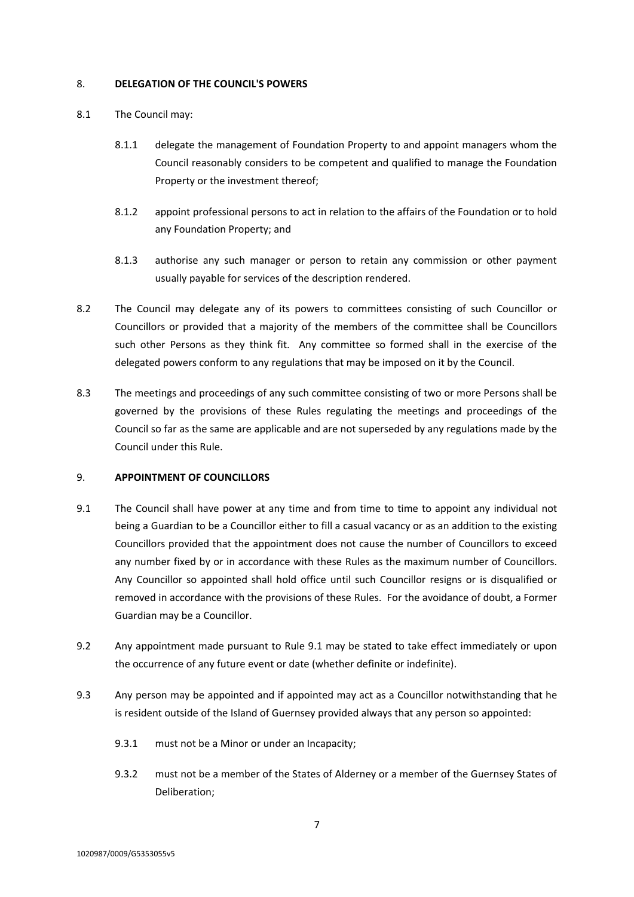### <span id="page-9-0"></span>8. **DELEGATION OF THE COUNCIL'S POWERS**

- 8.1 The Council may:
	- 8.1.1 delegate the management of Foundation Property to and appoint managers whom the Council reasonably considers to be competent and qualified to manage the Foundation Property or the investment thereof;
	- 8.1.2 appoint professional persons to act in relation to the affairs of the Foundation or to hold any Foundation Property; and
	- 8.1.3 authorise any such manager or person to retain any commission or other payment usually payable for services of the description rendered.
- 8.2 The Council may delegate any of its powers to committees consisting of such Councillor or Councillors or provided that a majority of the members of the committee shall be Councillors such other Persons as they think fit. Any committee so formed shall in the exercise of the delegated powers conform to any regulations that may be imposed on it by the Council.
- 8.3 The meetings and proceedings of any such committee consisting of two or more Persons shall be governed by the provisions of these Rules regulating the meetings and proceedings of the Council so far as the same are applicable and are not superseded by any regulations made by the Council under this Rule.

## <span id="page-9-1"></span>9. **APPOINTMENT OF COUNCILLORS**

- <span id="page-9-2"></span>9.1 The Council shall have power at any time and from time to time to appoint any individual not being a Guardian to be a Councillor either to fill a casual vacancy or as an addition to the existing Councillors provided that the appointment does not cause the number of Councillors to exceed any number fixed by or in accordance with these Rules as the maximum number of Councillors. Any Councillor so appointed shall hold office until such Councillor resigns or is disqualified or removed in accordance with the provisions of these Rules. For the avoidance of doubt, a Former Guardian may be a Councillor.
- 9.2 Any appointment made pursuant to Rule [9.1](#page-9-2) may be stated to take effect immediately or upon the occurrence of any future event or date (whether definite or indefinite).
- 9.3 Any person may be appointed and if appointed may act as a Councillor notwithstanding that he is resident outside of the Island of Guernsey provided always that any person so appointed:
	- 9.3.1 must not be a Minor or under an Incapacity;
	- 9.3.2 must not be a member of the States of Alderney or a member of the Guernsey States of Deliberation;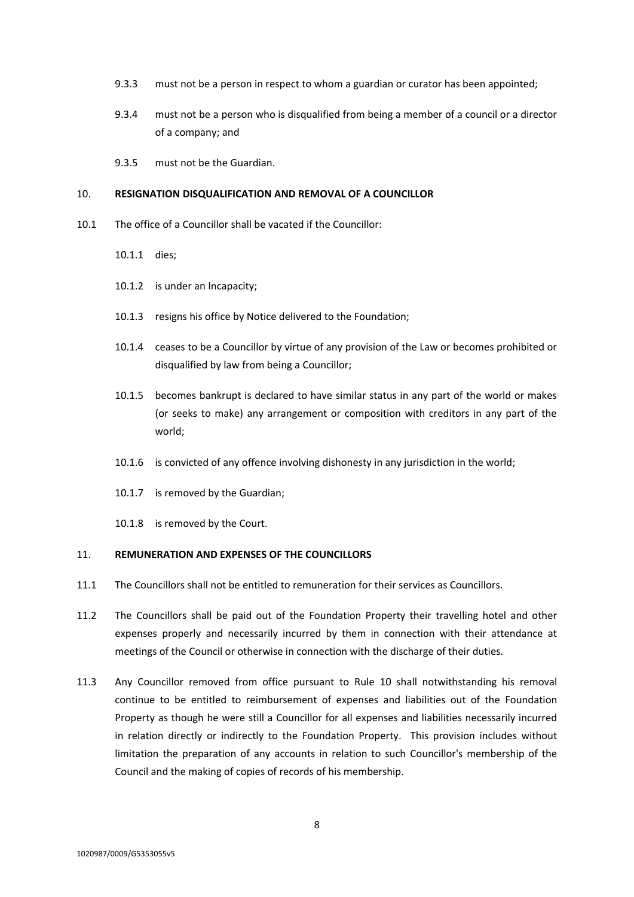- 9.3.3 must not be a person in respect to whom a guardian or curator has been appointed;
- 9.3.4 must not be a person who is disqualified from being a member of a council or a director of a company; and
- 9.3.5 must not be the Guardian.

#### <span id="page-10-0"></span>10. **RESIGNATION DISQUALIFICATION AND REMOVAL OF A COUNCILLOR**

- 10.1 The office of a Councillor shall be vacated if the Councillor:
	- 10.1.1 dies;
	- 10.1.2 is under an Incapacity;
	- 10.1.3 resigns his office by Notice delivered to the Foundation;
	- 10.1.4 ceases to be a Councillor by virtue of any provision of the Law or becomes prohibited or disqualified by law from being a Councillor;
	- 10.1.5 becomes bankrupt is declared to have similar status in any part of the world or makes (or seeks to make) any arrangement or composition with creditors in any part of the world;
	- 10.1.6 is convicted of any offence involving dishonesty in any jurisdiction in the world;
	- 10.1.7 is removed by the Guardian;
	- 10.1.8 is removed by the Court.

## <span id="page-10-1"></span>11. **REMUNERATION AND EXPENSES OF THE COUNCILLORS**

- 11.1 The Councillors shall not be entitled to remuneration for their services as Councillors.
- 11.2 The Councillors shall be paid out of the Foundation Property their travelling hotel and other expenses properly and necessarily incurred by them in connection with their attendance at meetings of the Council or otherwise in connection with the discharge of their duties.
- 11.3 Any Councillor removed from office pursuant to Rule [10](#page-10-0) shall notwithstanding his removal continue to be entitled to reimbursement of expenses and liabilities out of the Foundation Property as though he were still a Councillor for all expenses and liabilities necessarily incurred in relation directly or indirectly to the Foundation Property. This provision includes without limitation the preparation of any accounts in relation to such Councillor's membership of the Council and the making of copies of records of his membership.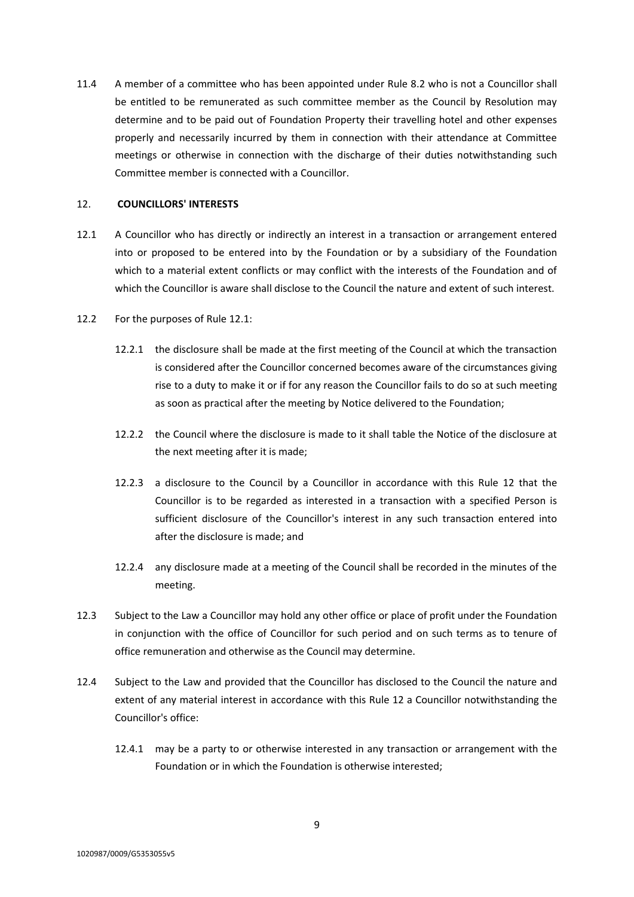11.4 A member of a committee who has been appointed under Rule 8.2 who is not a Councillor shall be entitled to be remunerated as such committee member as the Council by Resolution may determine and to be paid out of Foundation Property their travelling hotel and other expenses properly and necessarily incurred by them in connection with their attendance at Committee meetings or otherwise in connection with the discharge of their duties notwithstanding such Committee member is connected with a Councillor.

## <span id="page-11-0"></span>12. **COUNCILLORS' INTERESTS**

- <span id="page-11-1"></span>12.1 A Councillor who has directly or indirectly an interest in a transaction or arrangement entered into or proposed to be entered into by the Foundation or by a subsidiary of the Foundation which to a material extent conflicts or may conflict with the interests of the Foundation and of which the Councillor is aware shall disclose to the Council the nature and extent of such interest.
- 12.2 For the purposes of Rule [12.1:](#page-11-1)
	- 12.2.1 the disclosure shall be made at the first meeting of the Council at which the transaction is considered after the Councillor concerned becomes aware of the circumstances giving rise to a duty to make it or if for any reason the Councillor fails to do so at such meeting as soon as practical after the meeting by Notice delivered to the Foundation;
	- 12.2.2 the Council where the disclosure is made to it shall table the Notice of the disclosure at the next meeting after it is made;
	- 12.2.3 a disclosure to the Council by a Councillor in accordance with this Rule [12](#page-11-0) that the Councillor is to be regarded as interested in a transaction with a specified Person is sufficient disclosure of the Councillor's interest in any such transaction entered into after the disclosure is made; and
	- 12.2.4 any disclosure made at a meeting of the Council shall be recorded in the minutes of the meeting.
- 12.3 Subject to the Law a Councillor may hold any other office or place of profit under the Foundation in conjunction with the office of Councillor for such period and on such terms as to tenure of office remuneration and otherwise as the Council may determine.
- 12.4 Subject to the Law and provided that the Councillor has disclosed to the Council the nature and extent of any material interest in accordance with this Rule [12](#page-11-0) a Councillor notwithstanding the Councillor's office:
	- 12.4.1 may be a party to or otherwise interested in any transaction or arrangement with the Foundation or in which the Foundation is otherwise interested;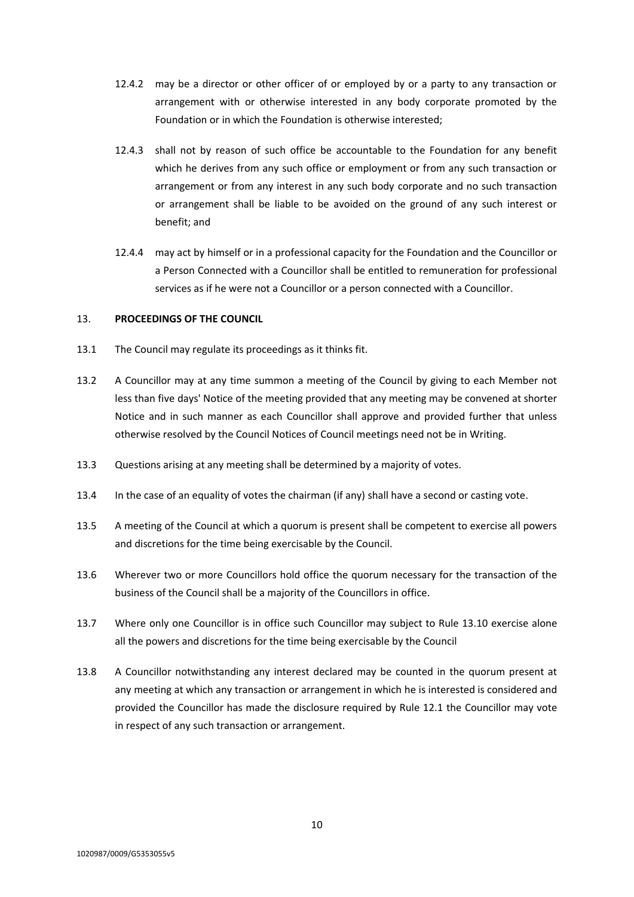- 12.4.2 may be a director or other officer of or employed by or a party to any transaction or arrangement with or otherwise interested in any body corporate promoted by the Foundation or in which the Foundation is otherwise interested;
- 12.4.3 shall not by reason of such office be accountable to the Foundation for any benefit which he derives from any such office or employment or from any such transaction or arrangement or from any interest in any such body corporate and no such transaction or arrangement shall be liable to be avoided on the ground of any such interest or benefit; and
- 12.4.4 may act by himself or in a professional capacity for the Foundation and the Councillor or a Person Connected with a Councillor shall be entitled to remuneration for professional services as if he were not a Councillor or a person connected with a Councillor.

## <span id="page-12-0"></span>13. **PROCEEDINGS OF THE COUNCIL**

- 13.1 The Council may regulate its proceedings as it thinks fit.
- 13.2 A Councillor may at any time summon a meeting of the Council by giving to each Member not less than five days' Notice of the meeting provided that any meeting may be convened at shorter Notice and in such manner as each Councillor shall approve and provided further that unless otherwise resolved by the Council Notices of Council meetings need not be in Writing.
- 13.3 Questions arising at any meeting shall be determined by a majority of votes.
- 13.4 In the case of an equality of votes the chairman (if any) shall have a second or casting vote.
- 13.5 A meeting of the Council at which a quorum is present shall be competent to exercise all powers and discretions for the time being exercisable by the Council.
- 13.6 Wherever two or more Councillors hold office the quorum necessary for the transaction of the business of the Council shall be a majority of the Councillors in office.
- 13.7 Where only one Councillor is in office such Councillor may subject to Rule [13.10](#page-13-1) exercise alone all the powers and discretions for the time being exercisable by the Council
- 13.8 A Councillor notwithstanding any interest declared may be counted in the quorum present at any meeting at which any transaction or arrangement in which he is interested is considered and provided the Councillor has made the disclosure required by Rule [12.1](#page-11-1) the Councillor may vote in respect of any such transaction or arrangement.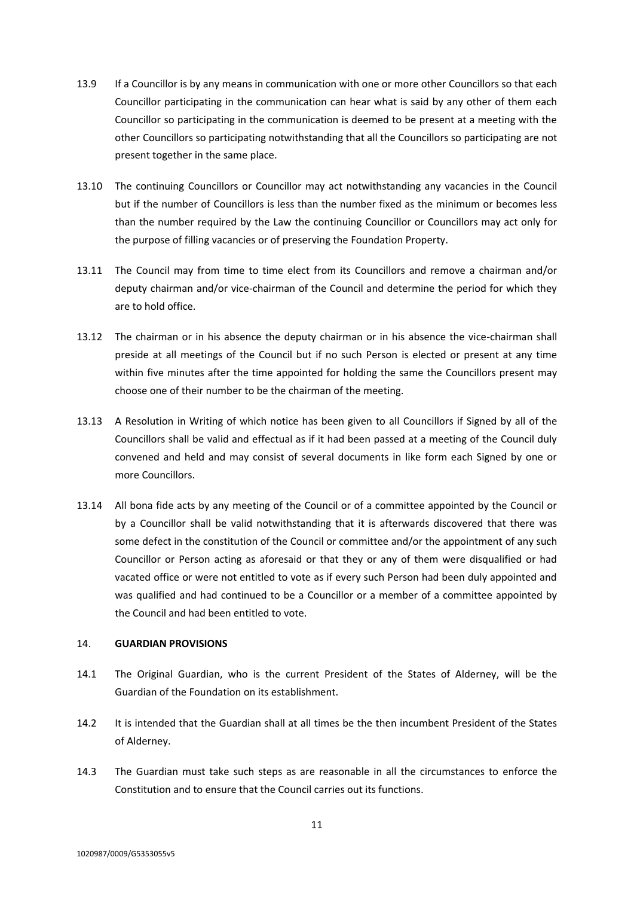- 13.9 If a Councillor is by any means in communication with one or more other Councillors so that each Councillor participating in the communication can hear what is said by any other of them each Councillor so participating in the communication is deemed to be present at a meeting with the other Councillors so participating notwithstanding that all the Councillors so participating are not present together in the same place.
- <span id="page-13-1"></span>13.10 The continuing Councillors or Councillor may act notwithstanding any vacancies in the Council but if the number of Councillors is less than the number fixed as the minimum or becomes less than the number required by the Law the continuing Councillor or Councillors may act only for the purpose of filling vacancies or of preserving the Foundation Property.
- 13.11 The Council may from time to time elect from its Councillors and remove a chairman and/or deputy chairman and/or vice-chairman of the Council and determine the period for which they are to hold office.
- 13.12 The chairman or in his absence the deputy chairman or in his absence the vice-chairman shall preside at all meetings of the Council but if no such Person is elected or present at any time within five minutes after the time appointed for holding the same the Councillors present may choose one of their number to be the chairman of the meeting.
- 13.13 A Resolution in Writing of which notice has been given to all Councillors if Signed by all of the Councillors shall be valid and effectual as if it had been passed at a meeting of the Council duly convened and held and may consist of several documents in like form each Signed by one or more Councillors.
- 13.14 All bona fide acts by any meeting of the Council or of a committee appointed by the Council or by a Councillor shall be valid notwithstanding that it is afterwards discovered that there was some defect in the constitution of the Council or committee and/or the appointment of any such Councillor or Person acting as aforesaid or that they or any of them were disqualified or had vacated office or were not entitled to vote as if every such Person had been duly appointed and was qualified and had continued to be a Councillor or a member of a committee appointed by the Council and had been entitled to vote.

### <span id="page-13-0"></span>14. **GUARDIAN PROVISIONS**

- 14.1 The Original Guardian, who is the current President of the States of Alderney, will be the Guardian of the Foundation on its establishment.
- 14.2 It is intended that the Guardian shall at all times be the then incumbent President of the States of Alderney.
- 14.3 The Guardian must take such steps as are reasonable in all the circumstances to enforce the Constitution and to ensure that the Council carries out its functions.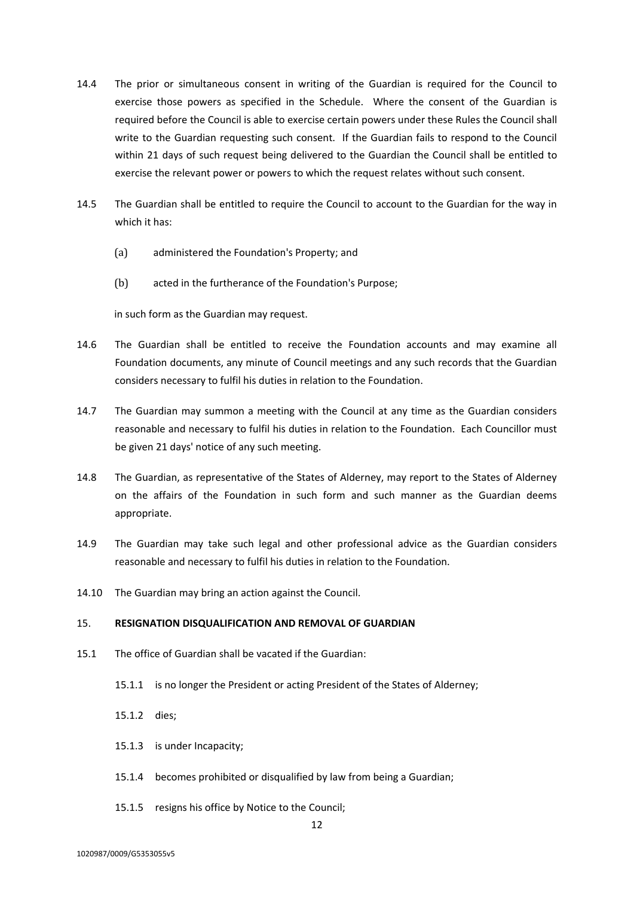- 14.4 The prior or simultaneous consent in writing of the Guardian is required for the Council to exercise those powers as specified in the Schedule. Where the consent of the Guardian is required before the Council is able to exercise certain powers under these Rules the Council shall write to the Guardian requesting such consent. If the Guardian fails to respond to the Council within 21 days of such request being delivered to the Guardian the Council shall be entitled to exercise the relevant power or powers to which the request relates without such consent.
- 14.5 The Guardian shall be entitled to require the Council to account to the Guardian for the way in which it has:
	- (a) administered the Foundation's Property; and
	- (b) acted in the furtherance of the Foundation's Purpose;

in such form as the Guardian may request.

- 14.6 The Guardian shall be entitled to receive the Foundation accounts and may examine all Foundation documents, any minute of Council meetings and any such records that the Guardian considers necessary to fulfil his duties in relation to the Foundation.
- 14.7 The Guardian may summon a meeting with the Council at any time as the Guardian considers reasonable and necessary to fulfil his duties in relation to the Foundation. Each Councillor must be given 21 days' notice of any such meeting.
- 14.8 The Guardian, as representative of the States of Alderney, may report to the States of Alderney on the affairs of the Foundation in such form and such manner as the Guardian deems appropriate.
- 14.9 The Guardian may take such legal and other professional advice as the Guardian considers reasonable and necessary to fulfil his duties in relation to the Foundation.
- 14.10 The Guardian may bring an action against the Council.

## <span id="page-14-0"></span>15. **RESIGNATION DISQUALIFICATION AND REMOVAL OF GUARDIAN**

- 15.1 The office of Guardian shall be vacated if the Guardian:
	- 15.1.1 is no longer the President or acting President of the States of Alderney;
	- 15.1.2 dies;
	- 15.1.3 is under Incapacity;
	- 15.1.4 becomes prohibited or disqualified by law from being a Guardian;
	- 15.1.5 resigns his office by Notice to the Council;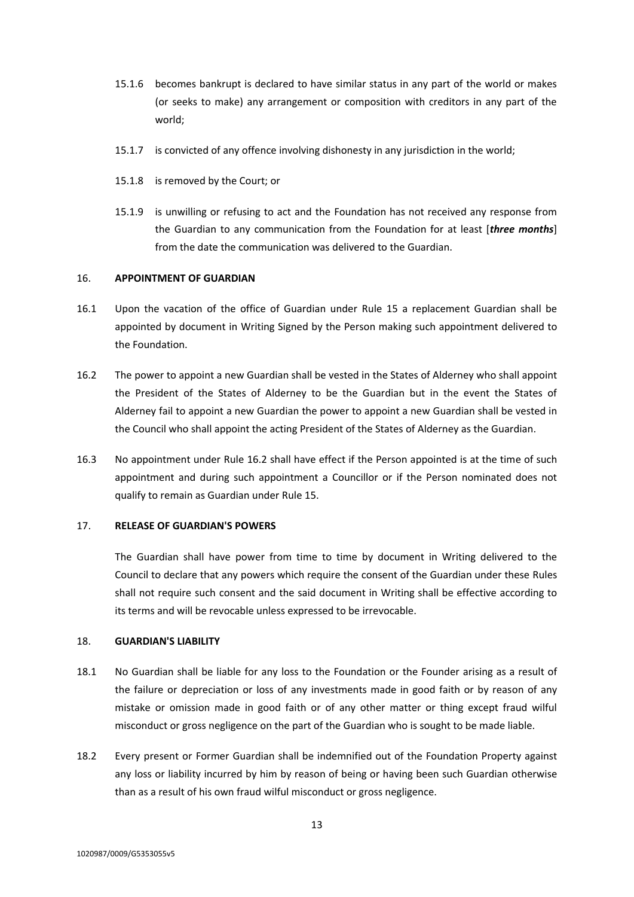- 15.1.6 becomes bankrupt is declared to have similar status in any part of the world or makes (or seeks to make) any arrangement or composition with creditors in any part of the world;
- 15.1.7 is convicted of any offence involving dishonesty in any jurisdiction in the world;
- 15.1.8 is removed by the Court; or
- 15.1.9 is unwilling or refusing to act and the Foundation has not received any response from the Guardian to any communication from the Foundation for at least [*three months*] from the date the communication was delivered to the Guardian.

### <span id="page-15-0"></span>16. **APPOINTMENT OF GUARDIAN**

- 16.1 Upon the vacation of the office of Guardian under Rule [15](#page-14-0) a replacement Guardian shall be appointed by document in Writing Signed by the Person making such appointment delivered to the Foundation.
- <span id="page-15-3"></span>16.2 The power to appoint a new Guardian shall be vested in the States of Alderney who shall appoint the President of the States of Alderney to be the Guardian but in the event the States of Alderney fail to appoint a new Guardian the power to appoint a new Guardian shall be vested in the Council who shall appoint the acting President of the States of Alderney as the Guardian.
- 16.3 No appointment under Rule [16.2](#page-15-3) shall have effect if the Person appointed is at the time of such appointment and during such appointment a Councillor or if the Person nominated does not qualify to remain as Guardian under Rule [15.](#page-14-0)

### <span id="page-15-1"></span>17. **RELEASE OF GUARDIAN'S POWERS**

The Guardian shall have power from time to time by document in Writing delivered to the Council to declare that any powers which require the consent of the Guardian under these Rules shall not require such consent and the said document in Writing shall be effective according to its terms and will be revocable unless expressed to be irrevocable.

### <span id="page-15-2"></span>18. **GUARDIAN'S LIABILITY**

- 18.1 No Guardian shall be liable for any loss to the Foundation or the Founder arising as a result of the failure or depreciation or loss of any investments made in good faith or by reason of any mistake or omission made in good faith or of any other matter or thing except fraud wilful misconduct or gross negligence on the part of the Guardian who is sought to be made liable.
- 18.2 Every present or Former Guardian shall be indemnified out of the Foundation Property against any loss or liability incurred by him by reason of being or having been such Guardian otherwise than as a result of his own fraud wilful misconduct or gross negligence.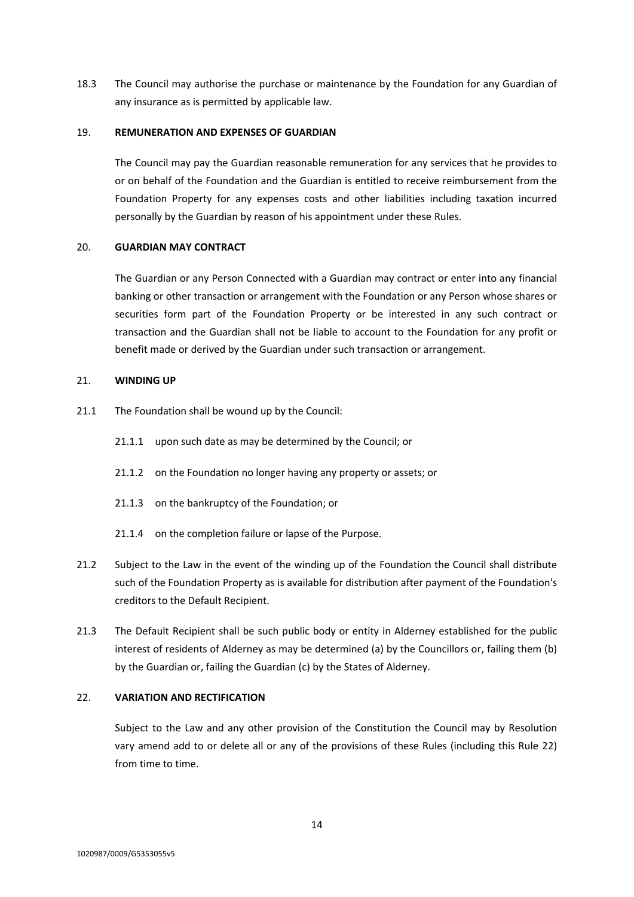18.3 The Council may authorise the purchase or maintenance by the Foundation for any Guardian of any insurance as is permitted by applicable law.

### <span id="page-16-0"></span>19. **REMUNERATION AND EXPENSES OF GUARDIAN**

The Council may pay the Guardian reasonable remuneration for any services that he provides to or on behalf of the Foundation and the Guardian is entitled to receive reimbursement from the Foundation Property for any expenses costs and other liabilities including taxation incurred personally by the Guardian by reason of his appointment under these Rules.

## <span id="page-16-1"></span>20. **GUARDIAN MAY CONTRACT**

The Guardian or any Person Connected with a Guardian may contract or enter into any financial banking or other transaction or arrangement with the Foundation or any Person whose shares or securities form part of the Foundation Property or be interested in any such contract or transaction and the Guardian shall not be liable to account to the Foundation for any profit or benefit made or derived by the Guardian under such transaction or arrangement.

## <span id="page-16-2"></span>21. **WINDING UP**

- 21.1 The Foundation shall be wound up by the Council:
	- 21.1.1 upon such date as may be determined by the Council; or
	- 21.1.2 on the Foundation no longer having any property or assets; or
	- 21.1.3 on the bankruptcy of the Foundation; or
	- 21.1.4 on the completion failure or lapse of the Purpose.
- 21.2 Subject to the Law in the event of the winding up of the Foundation the Council shall distribute such of the Foundation Property as is available for distribution after payment of the Foundation's creditors to the Default Recipient.
- <span id="page-16-4"></span>21.3 The Default Recipient shall be such public body or entity in Alderney established for the public interest of residents of Alderney as may be determined (a) by the Councillors or, failing them (b) by the Guardian or, failing the Guardian (c) by the States of Alderney.

# <span id="page-16-3"></span>22. **VARIATION AND RECTIFICATION**

Subject to the Law and any other provision of the Constitution the Council may by Resolution vary amend add to or delete all or any of the provisions of these Rules (including this Rule [22\)](#page-16-3) from time to time.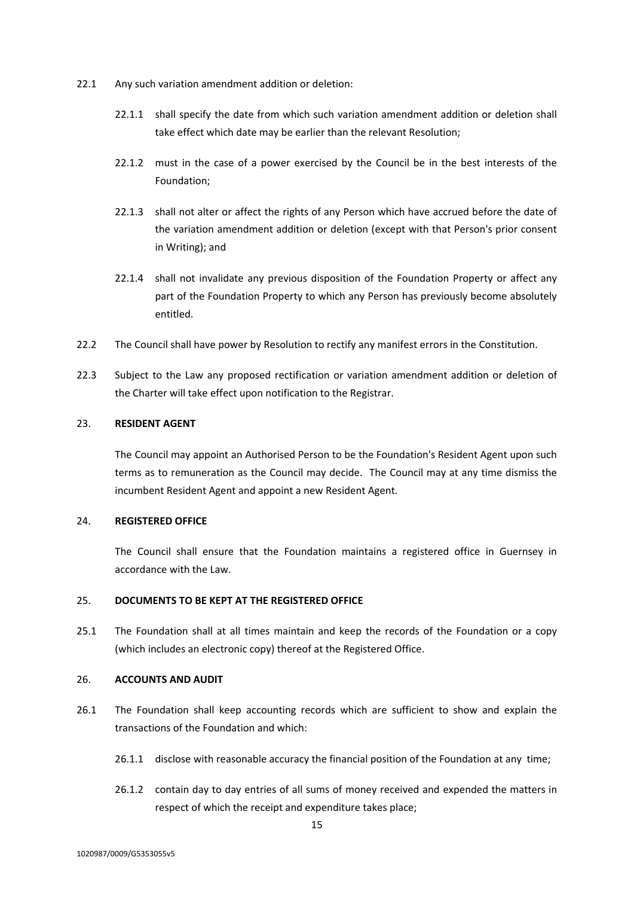- 22.1 Any such variation amendment addition or deletion:
	- 22.1.1 shall specify the date from which such variation amendment addition or deletion shall take effect which date may be earlier than the relevant Resolution;
	- 22.1.2 must in the case of a power exercised by the Council be in the best interests of the Foundation;
	- 22.1.3 shall not alter or affect the rights of any Person which have accrued before the date of the variation amendment addition or deletion (except with that Person's prior consent in Writing); and
	- 22.1.4 shall not invalidate any previous disposition of the Foundation Property or affect any part of the Foundation Property to which any Person has previously become absolutely entitled.
- 22.2 The Council shall have power by Resolution to rectify any manifest errors in the Constitution.
- 22.3 Subject to the Law any proposed rectification or variation amendment addition or deletion of the Charter will take effect upon notification to the Registrar.

#### <span id="page-17-0"></span>23. **RESIDENT AGENT**

The Council may appoint an Authorised Person to be the Foundation's Resident Agent upon such terms as to remuneration as the Council may decide. The Council may at any time dismiss the incumbent Resident Agent and appoint a new Resident Agent.

## <span id="page-17-1"></span>24. **REGISTERED OFFICE**

The Council shall ensure that the Foundation maintains a registered office in Guernsey in accordance with the Law.

## <span id="page-17-2"></span>25. **DOCUMENTS TO BE KEPT AT THE REGISTERED OFFICE**

25.1 The Foundation shall at all times maintain and keep the records of the Foundation or a copy (which includes an electronic copy) thereof at the Registered Office.

#### <span id="page-17-3"></span>26. **ACCOUNTS AND AUDIT**

- 26.1 The Foundation shall keep accounting records which are sufficient to show and explain the transactions of the Foundation and which:
	- 26.1.1 disclose with reasonable accuracy the financial position of the Foundation at any time;
	- 26.1.2 contain day to day entries of all sums of money received and expended the matters in respect of which the receipt and expenditure takes place;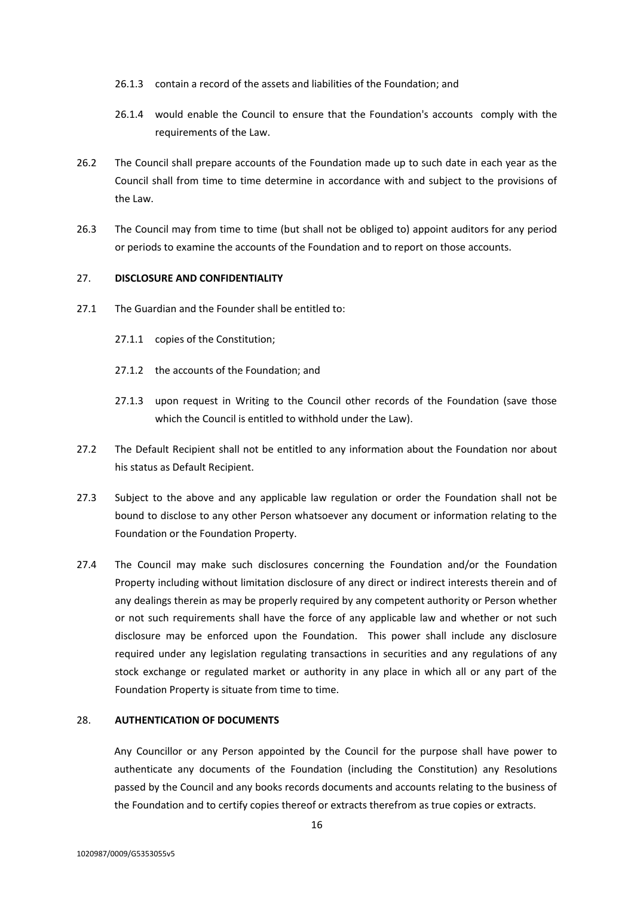- 26.1.3 contain a record of the assets and liabilities of the Foundation; and
- 26.1.4 would enable the Council to ensure that the Foundation's accounts comply with the requirements of the Law.
- 26.2 The Council shall prepare accounts of the Foundation made up to such date in each year as the Council shall from time to time determine in accordance with and subject to the provisions of the Law.
- 26.3 The Council may from time to time (but shall not be obliged to) appoint auditors for any period or periods to examine the accounts of the Foundation and to report on those accounts.

#### <span id="page-18-0"></span>27. **DISCLOSURE AND CONFIDENTIALITY**

- 27.1 The Guardian and the Founder shall be entitled to:
	- 27.1.1 copies of the Constitution;
	- 27.1.2 the accounts of the Foundation; and
	- 27.1.3 upon request in Writing to the Council other records of the Foundation (save those which the Council is entitled to withhold under the Law).
- 27.2 The Default Recipient shall not be entitled to any information about the Foundation nor about his status as Default Recipient.
- 27.3 Subject to the above and any applicable law regulation or order the Foundation shall not be bound to disclose to any other Person whatsoever any document or information relating to the Foundation or the Foundation Property.
- 27.4 The Council may make such disclosures concerning the Foundation and/or the Foundation Property including without limitation disclosure of any direct or indirect interests therein and of any dealings therein as may be properly required by any competent authority or Person whether or not such requirements shall have the force of any applicable law and whether or not such disclosure may be enforced upon the Foundation. This power shall include any disclosure required under any legislation regulating transactions in securities and any regulations of any stock exchange or regulated market or authority in any place in which all or any part of the Foundation Property is situate from time to time.

#### <span id="page-18-1"></span>28. **AUTHENTICATION OF DOCUMENTS**

Any Councillor or any Person appointed by the Council for the purpose shall have power to authenticate any documents of the Foundation (including the Constitution) any Resolutions passed by the Council and any books records documents and accounts relating to the business of the Foundation and to certify copies thereof or extracts therefrom as true copies or extracts.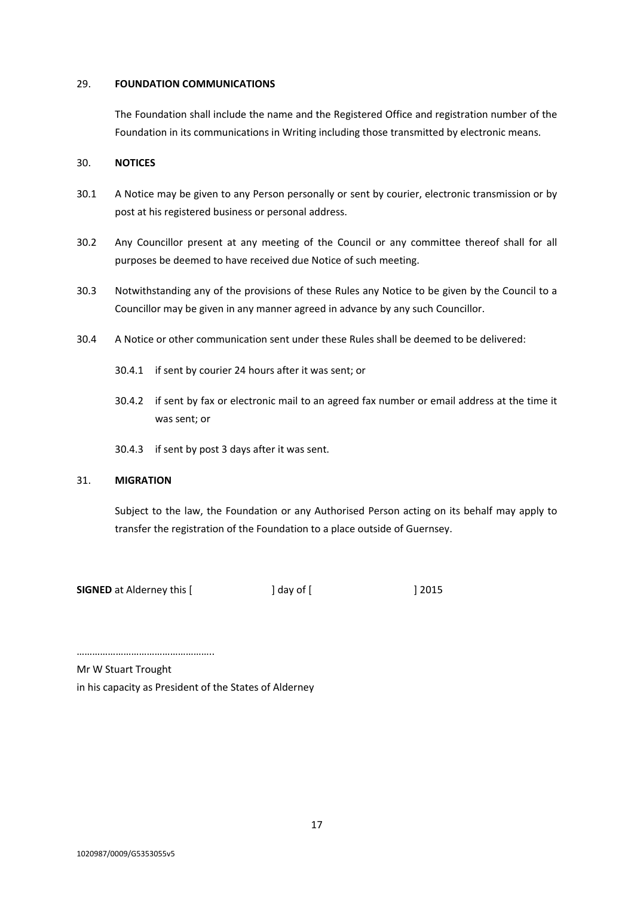### <span id="page-19-0"></span>29. **FOUNDATION COMMUNICATIONS**

The Foundation shall include the name and the Registered Office and registration number of the Foundation in its communications in Writing including those transmitted by electronic means.

## <span id="page-19-1"></span>30. **NOTICES**

- 30.1 A Notice may be given to any Person personally or sent by courier, electronic transmission or by post at his registered business or personal address.
- 30.2 Any Councillor present at any meeting of the Council or any committee thereof shall for all purposes be deemed to have received due Notice of such meeting.
- 30.3 Notwithstanding any of the provisions of these Rules any Notice to be given by the Council to a Councillor may be given in any manner agreed in advance by any such Councillor.
- 30.4 A Notice or other communication sent under these Rules shall be deemed to be delivered:
	- 30.4.1 if sent by courier 24 hours after it was sent; or
	- 30.4.2 if sent by fax or electronic mail to an agreed fax number or email address at the time it was sent; or
	- 30.4.3 if sent by post 3 days after it was sent.

## <span id="page-19-2"></span>31. **MIGRATION**

Subject to the law, the Foundation or any Authorised Person acting on its behalf may apply to transfer the registration of the Foundation to a place outside of Guernsey.

**SIGNED** at Alderney this [  $\qquad$  ] day of [  $\qquad$  12015

…………………………………………….. Mr W Stuart Trought

in his capacity as President of the States of Alderney